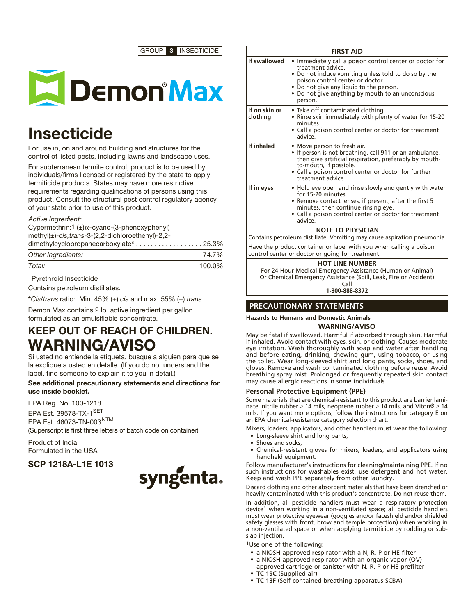GROUP 3 INSECTICIDE



# **Insecticide**

For use in, on and around building and structures for the control of listed pests, including lawns and landscape uses.

For subterranean termite control, product is to be used by individuals/firms licensed or registered by the state to apply termiticide products. States may have more restrictive requirements regarding qualifications of persons using this product. Consult the structural pest control regulatory agency of your state prior to use of this product.

## *Active Ingredient:*

Cypermethrin:1 (±)α-cyano-(3-phenoxyphenyl) methyl(±)-*cis,trans*-3-(2,2-dichloroethenyl)-2,2-

| dimethylcyclopropanecarboxylate* 25.3% |       |
|----------------------------------------|-------|
| Other Ingredients:                     | 74.7% |

## *Total:* 100.0%

1Pyrethroid Insecticide

Contains petroleum distillates.

\**Cis/trans* ratio: Min. 45% (±) *cis* and max. 55% (±) *trans*

Demon Max contains 2 lb. active ingredient per gallon formulated as an emulsifiable concentrate.

# KEEP OUT OF REACH OF CHILDREN. WARNING/AVISO

Si usted no entiende la etiqueta, busque a alguien para que se la explique a usted en detalle. (If you do not understand the label, find someone to explain it to you in detail.)

## See additional precautionary statements and directions for use inside booklet.

EPA Reg. No. 100-1218 EPA Est. 39578-TX-1SET EPA Est. 46073-TN-003NTM (Superscript is first three letters of batch code on container)

Product of India Formulated in the USA

# SCP 1218A-L1E 1013



| <b>FIRST AID</b>                                                                                                       |                                                                                                                                                                                                                                                                                      |  |  |
|------------------------------------------------------------------------------------------------------------------------|--------------------------------------------------------------------------------------------------------------------------------------------------------------------------------------------------------------------------------------------------------------------------------------|--|--|
| If swallowed                                                                                                           | • Immediately call a poison control center or doctor for<br>treatment advice.<br>• Do not induce vomiting unless told to do so by the<br>poison control center or doctor.<br>• Do not give any liquid to the person.<br>• Do not give anything by mouth to an unconscious<br>person. |  |  |
| If on skin or<br>clothing                                                                                              | • Take off contaminated clothing.<br>• Rinse skin immediately with plenty of water for 15-20<br>minutes.<br>• Call a poison control center or doctor for treatment<br>advice.                                                                                                        |  |  |
| If inhaled                                                                                                             | • Move person to fresh air.<br>• If person is not breathing, call 911 or an ambulance,<br>then give artificial respiration, preferably by mouth-<br>to-mouth, if possible.<br>· Call a poison control center or doctor for further<br>treatment advice.                              |  |  |
| If in eyes                                                                                                             | • Hold eye open and rinse slowly and gently with water<br>for 15-20 minutes.<br>• Remove contact lenses, if present, after the first 5<br>minutes, then continue rinsing eye.<br>• Call a poison control center or doctor for treatment<br>advice.                                   |  |  |
| <b>NOTE TO PHYSICIAN</b><br>Contains petroleum distillate. Vomiting may cause aspiration pneumonia.                    |                                                                                                                                                                                                                                                                                      |  |  |
| Have the product container or label with you when calling a poison<br>control center or doctor or going for treatment. |                                                                                                                                                                                                                                                                                      |  |  |
|                                                                                                                        | <b>HOT LINE NUMBER</b><br>For 24-Hour Medical Emergency Assistance (Human or Animal)                                                                                                                                                                                                 |  |  |

Or Chemical Emergency Assistance (Spill, Leak, Fire or Accident) Call

**1-800-888-8372**

# **PRECAUTIONARY STATEMENTS**

# **Hazards to Humans and Domestic Animals**

# **WARNING/AVISO**

May be fatal if swallowed. Harmful if absorbed through skin. Harmful if inhaled. Avoid contact with eyes, skin, or clothing. Causes moderate eye irritation. Wash thoroughly with soap and water after handling and before eating, drinking, chewing gum, using tobacco, or using the toilet. Wear long-sleeved shirt and long pants, socks, shoes, and gloves. Remove and wash contaminated clothing before reuse. Avoid breathing spray mist. Prolonged or frequently repeated skin contact may cause allergic reactions in some individuals.

## **Personal Protective Equipment (PPE)**

Some materials that are chemical-resistant to this product are barrier laminate, nitrile rubber ≥ 14 mils, neoprene rubber ≥ 14 mils, and Viton® ≥ 14 mils. If you want more options, follow the instructions for category E on an EPA chemical-resistance category selection chart.

Mixers, loaders, applicators, and other handlers must wear the following:

- Long-sleeve shirt and long pants,
- Shoes and socks,
- Chemical-resistant gloves for mixers, loaders, and applicators using handheld equipment.

Follow manufacturer's instructions for cleaning/maintaining PPE. If no such instructions for washables exist, use detergent and hot water. Keep and wash PPE separately from other laundry.

Discard clothing and other absorbent materials that have been drenched or heavily contaminated with this product's concentrate. Do not reuse them.

In addition, all pesticide handlers must wear a respiratory protection device1 when working in a non-ventilated space; all pesticide handlers must wear protective eyewear (goggles and/or faceshield and/or shielded safety glasses with front, brow and temple protection) when working in a non-ventilated space or when applying termiticide by rodding or subslab injection.

1Use one of the following:

- a NIOSH-approved respirator with a N, R, P or HE filter
- a NIOSH-approved respirator with an organic-vapor (OV)
- approved cartridge or canister with N, R, P or HE prefilter **• TC-19C** (Supplied-air)
- **• TC-13F** (Self-contained breathing apparatus-SCBA)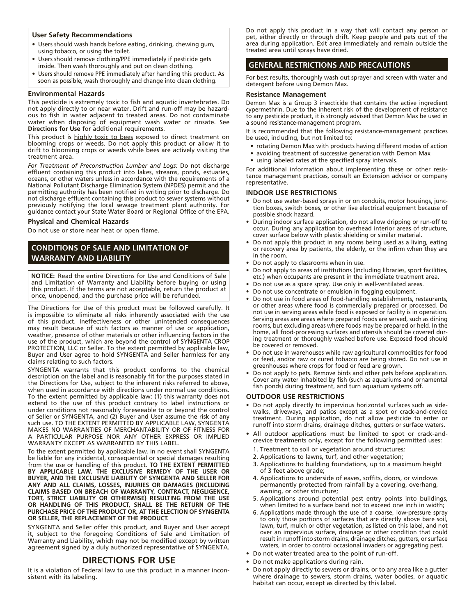## **User Safety Recommendations**

- Users should wash hands before eating, drinking, chewing gum, using tobacco, or using the toilet.
- Users should remove clothing/PPE immediately if pesticide gets inside. Then wash thoroughly and put on clean clothing.
- Users should remove PPE immediately after handling this product. As soon as possible, wash thoroughly and change into clean clothing.

## **Environmental Hazards**

This pesticide is extremely toxic to fish and aquatic invertebrates. Do not apply directly to or near water. Drift and run-off may be hazardous to fish in water adjacent to treated areas. Do not contaminate water when disposing of equipment wash water or rinsate. See **Directions for Use** for additional requirements.

This product is highly toxic to bees exposed to direct treatment on blooming crops or weeds. Do not apply this product or allow it to drift to blooming crops or weeds while bees are actively visiting the treatment area.

*For Treatment of Preconstruction Lumber and Logs:* Do not discharge effluent containing this product into lakes, streams, ponds, estuaries, oceans, or other waters unless in accordance with the requirements of a National Pollutant Discharge Elimination System (NPDES) permit and the permitting authority has been notified in writing prior to discharge. Do not discharge effluent containing this product to sewer systems without previously notifying the local sewage treatment plant authority. For guidance contact your State Water Board or Regional Office of the EPA.

## **Physical and Chemical Hazards**

Do not use or store near heat or open flame.

# **CONDITIONS OF SALE AND LIMITATION OF WARRANTY AND LIABILITY**

**NOTICE:** Read the entire Directions for Use and Conditions of Sale and Limitation of Warranty and Liability before buying or using this product. If the terms are not acceptable, return the product at once, unopened, and the purchase price will be refunded.

The Directions for Use of this product must be followed carefully. It is impossible to eliminate all risks inherently associated with the use of this product. Ineffectiveness or other unintended consequences may result because of such factors as manner of use or application, weather, presence of other materials or other influencing factors in the use of the product, which are beyond the control of SYNGENTA CROP PROTECTION, LLC or Seller. To the extent permitted by applicable law, Buyer and User agree to hold SYNGENTA and Seller harmless for any claims relating to such factors.

SYNGENTA warrants that this product conforms to the chemical description on the label and is reasonably fit for the purposes stated in the Directions for Use, subject to the inherent risks referred to above, when used in accordance with directions under normal use conditions. To the extent permitted by applicable law: (1) this warranty does not extend to the use of this product contrary to label instructions or under conditions not reasonably foreseeable to or beyond the control of Seller or SYNGENTA, and (2) Buyer and User assume the risk of any such use. TO THE EXTENT PERMITTÉD BY APPLICABLE LAW, SYNGENTA MAKES NO WARRANTIES OF MERCHANTABILITY OR OF FITNESS FOR A PARTICULAR PURPOSE NOR ANY OTHER EXPRESS OR IMPLIED WARRANTY EXCEPT AS WARRANTED BY THIS LABEL.

To the extent permitted by applicable law, in no event shall SYNGENTA be liable for any incidental, consequential or special damages resulting from the use or handling of this product. **TO THE EXTENT PERMITTED BY APPLICABLE LAW, THE EXCLUSIVE REMEDY OF THE USER OR BUYER, AND THE EXCLUSIVE LIABILITY OF SYNGENTA AND SELLER FOR ANY AND ALL CLAIMS, LOSSES, INJURIES OR DAMAGES (INCLUDING CLAIMS BASED ON BREACH OF WARRANTY, CONTRACT, NEGLIGENCE, TORT, STRICT LIABILITY OR OTHERWISE) RESULTING FROM THE USE OR HANDLING OF THIS PRODUCT, SHALL BE THE RETURN OF THE PURCHASE PRICE OF THE PRODUCT OR, AT THE ELECTION OF SYNGENTA OR SELLER, THE REPLACEMENT OF THE PRODUCT.**

SYNGENTA and Seller offer this product, and Buyer and User accept it, subject to the foregoing Conditions of Sale and Limitation of Warranty and Liability, which may not be modified except by written agreement signed by a duly authorized representative of SYNGENTA.

## **DIRECTIONS FOR USE**

It is a violation of Federal law to use this product in a manner inconsistent with its labeling.

Do not apply this product in a way that will contact any person or pet, either directly or through drift. Keep people and pets out of the area during application. Exit area immediately and remain outside the treated area until sprays have dried.

## **GENERAL RESTRICTIONS AND PRECAUTIONS**

For best results, thoroughly wash out sprayer and screen with water and detergent before using Demon Max.

## **Resistance Management**

Demon Max is a Group 3 insecticide that contains the active ingredient cypermethrin. Due to the inherent risk of the development of resistance to any pesticide product, it is strongly advised that Demon Max be used in a sound resistance-management program.

It is recommended that the following resistance-management practices be used, including, but not limited to:

- rotating Demon Max with products having different modes of action
- avoiding treatment of successive generation with Demon Max
- using labeled rates at the specified spray intervals.

For additional information about implementing these or other resistance management practices, consult an Extension advisor or company representative.

## **INDOOR USE RESTRICTIONS**

- Do not use water-based sprays in or on conduits, motor housings, junction boxes, switch boxes, or other live electrical equipment because of possible shock hazard.
- • During indoor surface application, do not allow dripping or run-off to occur. During any application to overhead interior areas of structure, cover surface below with plastic shielding or similar material.
- Do not apply this product in any rooms being used as a living, eating or recovery area by patients, the elderly, or the infirm when they are in the room.
- Do not apply to classrooms when in use.
- Do not apply to areas of institutions (including libraries, sport facilities, etc.) when occupants are present in the immediate treatment area.
- Do not use as a space spray. Use only in well-ventilated areas.
- • Do not use concentrate or emulsion in fogging equipment.
- • Do not use in food areas of food-handling establishments, restaurants, or other areas where food is commercially prepared or processed. Do not use in serving areas while food is exposed or facility is in operation. Serving areas are areas where prepared foods are served, such as dining rooms, but excluding areas where foods may be prepared or held. In the home, all food-processing surfaces and utensils should be covered during treatment or thoroughly washed before use. Exposed food should be covered or removed.
- Do not use in warehouses while raw agricultural commodities for food or feed, and/or raw or cured tobacco are being stored. Do not use in greenhouses where crops for food or feed are grown.
- Do not apply to pets. Remove birds and other pets before application. Cover any water inhabited by fish (such as aquariums and ornamental fish ponds) during treatment, and turn aquarium systems off.

## **OUTDOOR USE RESTRICTIONS**

- Do not apply directly to impervious horizontal surfaces such as sidewalks, driveways, and patios except as a spot or crack-and-crevice treatment. During application, do not allow pesticide to enter or runoff into storm drains, drainage ditches, gutters or surface waters.
- All outdoor applications must be limited to spot or crack-andcrevice treatments only, except for the following permitted uses:
	- 1. Treatment to soil or vegetation around structures:
- 2. Applications to lawns, turf, and other vegetation;
- 3. Applications to building foundations, up to a maximum height of 3 feet above grade;
- 4. Applications to underside of eaves, soffits, doors, or windows permanently protected from rainfall by a covering, overhang, awning, or other structure;
- 5. Applications around potential pest entry points into buildings, when limited to a surface band not to exceed one inch in width;
- 6. Applications made through the use of a coarse, low-pressure spray to only those portions of surfaces that are directly above bare soil, lawn, turf, mulch or other vegetation, as listed on this label, and not over an impervious surface, drainage or other condition that could result in runoff into storm drains, drainage ditches, gutters, or surface waters, in order to control occasional invaders or aggregating pest.
- Do not water treated area to the point of run-off.
- Do not make applications during rain.
- Do not apply directly to sewers or drains, or to any area like a gutter where drainage to sewers, storm drains, water bodies, or aquatic habitat can occur, except as directed by this label.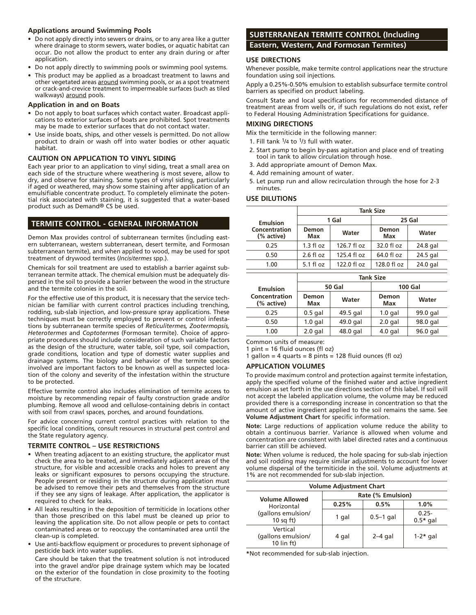## **Applications around Swimming Pools**

- Do not apply directly into sewers or drains, or to any area like a gutter where drainage to storm sewers, water bodies, or aquatic habitat can occur. Do not allow the product to enter any drain during or after application.
- Do not apply directly to swimming pools or swimming pool systems.
- This product may be applied as a broadcast treatment to lawns and other vegetated areas around swimming pools, or as a spot treatment or crack-and-crevice treatment to impermeable surfaces (such as tiled walkways) around pools.

## **Application in and on Boats**

- Do not apply to boat surfaces which contact water. Broadcast applications to exterior surfaces of boats are prohibited. Spot treatments may be made to exterior surfaces that do not contact water.
- Use inside boats, ships, and other vessels is permitted. Do not allow product to drain or wash off into water bodies or other aquatic habitat.

## **CAUTION ON APPLICATION TO VINYL SIDING**

Each year prior to an application to vinyl siding, treat a small area on each side of the structure where weathering is most severe, allow to dry, and observe for staining. Some types of vinyl siding, particularly if aged or weathered, may show some staining after application of an emulsifiable concentrate product. To completely eliminate the potential risk associated with staining, it is suggested that a water-based product such as Demand® CS be used.

# **TERMITE CONTROL - GENERAL INFORMATION**

Demon Max provides control of subterranean termites (including eastern subterranean, western subterranean, desert termite, and Formosan subterranean termite), and when applied to wood, may be used for spot treatment of drywood termites (*Incisitermes* spp.).

Chemicals for soil treatment are used to establish a barrier against subterranean termite attack. The chemical emulsion must be adequately dispersed in the soil to provide a barrier between the wood in the structure and the termite colonies in the soil.

For the effective use of this product, it is necessary that the service technician be familiar with current control practices including trenching, rodding, sub-slab injection, and low-pressure spray applications. These techniques must be correctly employed to prevent or control infestations by subterranean termite species of *Reticulitermes, Zootermopsis, Heterotermes* and *Coptotermes* (Formosan termite). Choice of appropriate procedures should include consideration of such variable factors as the design of the structure, water table, soil type, soil compaction, grade conditions, location and type of domestic water supplies and drainage systems. The biology and behavior of the termite species involved are important factors to be known as well as suspected location of the colony and severity of the infestation within the structure to be protected.

Effective termite control also includes elimination of termite access to moisture by recommending repair of faulty construction grade and/or plumbing. Remove all wood and cellulose-containing debris in contact with soil from crawl spaces, porches, and around foundations.

For advice concerning current control practices with relation to the specific local conditions, consult resources in structural pest control and the State regulatory agency.

## **TERMITE CONTROL – USE RESTRICTIONS**

- When treating adjacent to an existing structure, the applicator must check the area to be treated, and immediately adjacent areas of the structure, for visible and accessible cracks and holes to prevent any leaks or significant exposures to persons occupying the structure. People present or residing in the structure during application must be advised to remove their pets and themselves from the structure if they see any signs of leakage. After application, the applicator is required to check for leaks.
- All leaks resulting in the deposition of termiticide in locations other than those prescribed on this label must be cleaned up prior to leaving the application site. Do not allow people or pets to contact contaminated areas or to reoccupy the contaminated area until the clean-up is completed.
- Use anti-backflow equipment or procedures to prevent siphonage of pesticide back into water supplies.

Care should be taken that the treatment solution is not introduced into the gravel and/or pipe drainage system which may be located on the exterior of the foundation in close proximity to the footing of the structure.

# **SUBTERRANEAN TERMITE CONTROL (Including Eastern, Western, And Formosan Termites)**

## **USE DIRECTIONS**

Whenever possible, make termite control applications near the structure foundation using soil injections.

Apply a 0.25%-0.50% emulsion to establish subsurface termite control barriers as specified on product labeling.

Consult State and local specifications for recommended distance of treatment areas from wells or, if such regulations do not exist, refer to Federal Housing Administration Specifications for guidance.

## **MIXING DIRECTIONS**

Mix the termiticide in the following manner:

- 1. Fill tank 1/4 to 1/3 full with water.
- 2. Start pump to begin by-pass agitation and place end of treating tool in tank to allow circulation through hose.
- 3. Add appropriate amount of Demon Max.
- 4. Add remaining amount of water.
- 5. Let pump run and allow recirculation through the hose for 2-3 minutes.

## **USE DILUTIONS**

|                             | <b>Tank Size</b>    |             |              |          |
|-----------------------------|---------------------|-------------|--------------|----------|
| <b>Emulsion</b>             | 1 Gal               |             |              | 25 Gal   |
| Concentration<br>(% active) | Demon<br>Max        | Water       | Demon<br>Max | Water    |
| 0.25                        | $1.3 \text{ fl oz}$ | 126.7 fl oz | 32.0 fl oz   | 24.8 gal |
| 0.50                        | $2.6 \text{ fl oz}$ | 125.4 fl oz | 64.0 fl oz   | 24.5 gal |
| 1.00                        | $5.1 f$ l oz        | 122.0 fl oz | 128.0 fl oz  | 24.0 gal |

|                                    | <b>Tank Size</b> |          |              |                |
|------------------------------------|------------------|----------|--------------|----------------|
| <b>Emulsion</b>                    | 50 Gal           |          |              | <b>100 Gal</b> |
| <b>Concentration</b><br>(% active) | Demon<br>Max     | Water    | Demon<br>Max | Water          |
| 0.25                               | $0.5$ gal        | 49.5 gal | $1.0$ gal    | 99.0 gal       |
| 0.50                               | $1.0$ gal        | 49.0 gal | $2.0$ gal    | 98.0 gal       |
| 1.00                               | $2.0$ gal        | 48.0 gal | $4.0$ gal    | 96.0 gal       |

Common units of measure:

1 pint = 16 fluid ounces (fl oz)

1 gallon =  $4$  quarts =  $8$  pints = 128 fluid ounces (fl oz)

## **APPLICATION VOLUMES**

To provide maximum control and protection against termite infestation, apply the specified volume of the finished water and active ingredient emulsion as set forth in the use directions section of this label. If soil will not accept the labeled application volume, the volume may be reduced provided there is a corresponding increase in concentration so that the amount of active ingredient applied to the soil remains the same. See **Volume Adjustment Chart** for specific information.

**Note:** Large reductions of application volume reduce the ability to obtain a continuous barrier. Variance is allowed when volume and concentration are consistent with label directed rates and a continuous barrier can still be achieved.

**Note:** When volume is reduced, the hole spacing for sub-slab injection and soil rodding may require similar adjustments to account for lower volume dispersal of the termiticide in the soil. Volume adjustments at 1% are not recommended for sub-slab injection.

| <b>Volume Adjustment Chart</b>                                |                   |             |                        |  |
|---------------------------------------------------------------|-------------------|-------------|------------------------|--|
| <b>Volume Allowed</b>                                         | Rate (% Emulsion) |             |                        |  |
| Horizontal                                                    | 0.25%             | 0.5%        | 1.0%                   |  |
| (gallons emulsion/<br>10 sq $ft)$                             | 1 gal             | $0.5-1$ gal | $0.25 -$<br>$0.5*$ gal |  |
| Vertical<br>(gallons emulsion/<br>$10 \text{ lin } \text{ft}$ | 4 gal             | $2-4$ gal   | $1-2*$ gal             |  |

**\***Not recommended for sub-slab injection.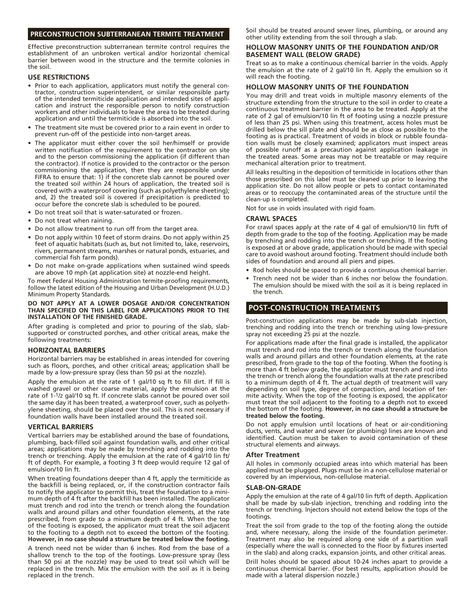## **PRECONSTRUCTION SUBTERRANEAN TERMITE TREATMENT**

Effective preconstruction subterranean termite control requires the establishment of an unbroken vertical and/or horizontal chemical barrier between wood in the structure and the termite colonies in the soil.

#### **USE RESTRICTIONS**

- Prior to each application, applicators must notify the general contractor, construction superintendent, or similar responsible party of the intended termiticide application and intended sites of application and instruct the responsible person to notify construction workers and other individuals to leave the area to be treated during application and until the termiticide is absorbed into the soil.
- The treatment site must be covered prior to a rain event in order to prevent run-off of the pesticide into non-target areas.
- The applicator must either cover the soil her/himself or provide written notification of the requirement to the contractor on site and to the person commissioning the application (if different than the contractor). If notice is provided to the contractor or the person commissioning the application, then they are responsible under FIFRA to ensure that: 1) if the concrete slab cannot be poured over the treated soil within 24 hours of application, the treated soil is covered with a waterproof covering (such as polyethylene sheeting); and, 2) the treated soil is covered if precipitation is predicted to occur before the concrete slab is scheduled to be poured.
- Do not treat soil that is water-saturated or frozen.
- Do not treat when raining.
- Do not allow treatment to run off from the target area.
- Do not apply within 10 feet of storm drains. Do not apply within 25 feet of aquatic habitats (such as, but not limited to, lake, reservoirs, rivers, permanent streams, marshes or natural ponds, estuaries, and commercial fish farm ponds).
- Do not make on-grade applications when sustained wind speeds are above 10 mph (at application site) at nozzle-end height.

To meet Federal Housing Administration termite-proofing requirements, follow the latest edition of the Housing and Urban Development (H.U.D.) Minimum Property Standards.

#### **DO NOT APPLY AT A LOWER DOSAGE AND/OR CONCENTRATION THAN SPECIFIED ON THIS LABEL FOR APPLICATIONS PRIOR TO THE INSTALLATION OF THE FINISHED GRADE.**

After grading is completed and prior to pouring of the slab, slabsupported or constructed porches, and other critical areas, make the following treatments:

#### **HORIZONTAL BARRIERS**

Horizontal barriers may be established in areas intended for covering such as floors, porches, and other critical areas; application shall be made by a low-pressure spray (less than 50 psi at the nozzle).

Apply the emulsion at the rate of 1 gal/10 sq ft to fill dirt. If fill is washed gravel or other coarse material, apply the emulsion at the rate of 1-1/2 gal/10 sq ft. If concrete slabs cannot be poured over soil the same day it has been treated, a waterproof cover, such as polyethylene sheeting, should be placed over the soil. This is not necessary if foundation walls have been installed around the treated soil.

#### **VERTICAL BARRIERS**

Vertical barriers may be established around the base of foundations, plumbing, back-filled soil against foundation walls, and other critical areas; applications may be made by trenching and rodding into the trench or trenching. Apply the emulsion at the rate of 4 gal/10 lin ft/ ft of depth. For example, a footing 3 ft deep would require 12 gal of emulsion/10 lin ft.

When treating foundations deeper than 4 ft, apply the termiticide as the backfill is being replaced, or, if the construction contractor fails to notify the applicator to permit this, treat the foundation to a minimum depth of 4 ft after the backfill has been installed. The applicator must trench and rod into the trench or trench along the foundation walls and around pillars and other foundation elements, at the rate prescribed, from grade to a minimum depth of 4 ft. When the top of the footing is exposed, the applicator must treat the soil adjacent to the footing to a depth not to exceed the bottom of the footing. **However, in no case should a structure be treated below the footing.**

A trench need not be wider than 6 inches. Rod from the base of a shallow trench to the top of the footings. Low-pressure spray (less than 50 psi at the nozzle) may be used to treat soil which will be replaced in the trench. Mix the emulsion with the soil as it is being replaced in the trench.

Soil should be treated around sewer lines, plumbing, or around any other utility extending from the soil through a slab.

## **HOLLOW MASONRY UNITS OF THE FOUNDATION AND/OR BASEMENT WALL (BELOW GRADE)**

Treat so as to make a continuous chemical barrier in the voids. Apply the emulsion at the rate of 2 gal/10 lin ft. Apply the emulsion so it will reach the footing.

## **HOLLOW MASONRY UNITS OF THE FOUNDATION**

You may drill and treat voids in multiple masonry elements of the structure extending from the structure to the soil in order to create a continuous treatment barrier in the area to be treated. Apply at the rate of 2 gal of emulsion/10 lin ft of footing using a nozzle pressure of less than 25 psi. When using this treatment, access holes must be drilled below the sill plate and should be as close as possible to the footing as is practical. Treatment of voids in block or rubble foundation walls must be closely examined; applicators must inspect areas of possible runoff as a precaution against application leakage in the treated areas. Some areas may not be treatable or may require mechanical alteration prior to treatment.

All leaks resulting in the deposition of termiticide in locations other than those prescribed on this label must be cleaned up prior to leaving the application site. Do not allow people or pets to contact contaminated areas or to reoccupy the contaminated areas of the structure until the clean-up is completed.

Not for use in voids insulated with rigid foam.

## **CRAWL SPACES**

For crawl spaces apply at the rate of 4 gal of emulsion/10 lin ft/ft of depth from grade to the top of the footing. Application may be made by trenching and rodding into the trench or trenching. If the footing is exposed at or above grade, application should be made with special care to avoid washout around footing. Treatment should include both sides of foundation and around all piers and pipes.

- Rod holes should be spaced to provide a continuous chemical barrier.
- Trench need not be wider than 6 inches nor below the foundation. The emulsion should be mixed with the soil as it is being replaced in the trench.

## **POST-CONSTRUCTION TREATMENTS**

Post-construction applications may be made by sub-slab injection, trenching and rodding into the trench or trenching using low-pressure spray not exceeding 25 psi at the nozzle.

For applications made after the final grade is installed, the applicator must trench and rod into the trench or trench along the foundation walls and around pillars and other foundation elements, at the rate prescribed, from grade to the top of the footing. When the footing is more than 4 ft below grade, the applicator must trench and rod into the trench or trench along the foundation walls at the rate prescribed to a minimum depth of  $\overline{4}$  ft. The actual depth of treatment will vary depending on soil type, degree of compaction, and location of termite activity. When the top of the footing is exposed, the applicator must treat the soil adjacent to the footing to a depth not to exceed the bottom of the footing. **However, in no case should a structure be treated below the footing.**

Do not apply emulsion until locations of heat or air-conditioning ducts, vents, and water and sewer (or plumbing) lines are known and identified. Caution must be taken to avoid contamination of these structural elements and airways.

#### **After Treatment**

All holes in commonly occupied areas into which material has been applied must be plugged. Plugs must be in a non-cellulose material or covered by an impervious, non-cellulose material.

#### **SLAB-ON-GRADE**

Apply the emulsion at the rate of 4 gal/10 lin ft/ft of depth. Application shall be made by sub-slab injection, trenching and rodding into the trench or trenching. Injectors should not extend below the tops of the footings.

Treat the soil from grade to the top of the footing along the outside and, where necessary, along the inside of the foundation perimeter. Treatment may also be required along one side of a partition wall (especially where the wall is connected to the floor by fixtures inserted in the slab) and along cracks, expansion joints, and other critical areas.

Drill holes should be spaced about 10-24 inches apart to provide a continuous chemical barrier. (For best results, application should be made with a lateral dispersion nozzle.)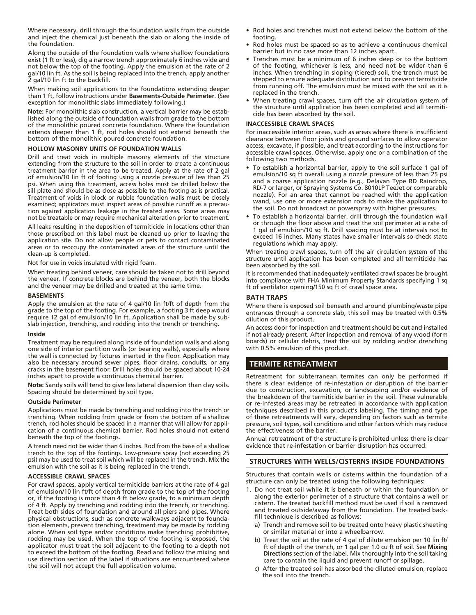Where necessary, drill through the foundation walls from the outside and inject the chemical just beneath the slab or along the inside of the foundation.

Along the outside of the foundation walls where shallow foundations exist (1 ft or less), dig a narrow trench approximately 6 inches wide and not below the top of the footing. Apply the emulsion at the rate of 2 gal/10 lin ft. As the soil is being replaced into the trench, apply another 2 gal/10 lin ft to the backfill.

When making soil applications to the foundations extending deeper than 1 ft, follow instructions under **Basements-Outside Perimeter**. (See exception for monolithic slabs immediately following.)

**Note:** For monolithic slab construction, a vertical barrier may be established along the outside of foundation walls from grade to the bottom of the monolithic poured concrete foundation. Where the foundation extends deeper than 1 ft, rod holes should not extend beneath the bottom of the monolithic poured concrete foundation.

## **HOLLOW MASONRY UNITS OF FOUNDATION WALLS**

Drill and treat voids in multiple masonry elements of the structure extending from the structure to the soil in order to create a continuous treatment barrier in the area to be treated. Apply at the rate of 2 gal of emulsion/10 lin ft of footing using a nozzle pressure of less than 25 psi. When using this treatment, access holes must be drilled below the sill plate and should be as close as possible to the footing as is practical. Treatment of voids in block or rubble foundation walls must be closely examined; applicators must inspect areas of possible runoff as a precaution against application leakage in the treated areas. Some areas may not be treatable or may require mechanical alteration prior to treatment.

All leaks resulting in the deposition of termiticide in locations other than those prescribed on this label must be cleaned up prior to leaving the application site. Do not allow people or pets to contact contaminated areas or to reoccupy the contaminated areas of the structure until the clean-up is completed.

Not for use in voids insulated with rigid foam.

When treating behind veneer, care should be taken not to drill beyond the veneer. If concrete blocks are behind the veneer, both the blocks and the veneer may be drilled and treated at the same time.

## **BASEMENTS**

Apply the emulsion at the rate of 4 gal/10 lin ft/ft of depth from the grade to the top of the footing. For example, a footing 3 ft deep would require 12 gal of emulsion/10 lin ft. Application shall be made by subslab injection, trenching, and rodding into the trench or trenching.

#### **Inside**

Treatment may be required along inside of foundation walls and along one side of interior partition walls (or bearing walls), especially where the wall is connected by fixtures inserted in the floor. Application may also be necessary around sewer pipes, floor drains, conduits, or any cracks in the basement floor. Drill holes should be spaced about 10-24 inches apart to provide a continuous chemical barrier.

**Note:** Sandy soils will tend to give less lateral dispersion than clay soils. Spacing should be determined by soil type.

#### **Outside Perimeter**

Applications must be made by trenching and rodding into the trench or trenching. When rodding from grade or from the bottom of a shallow trench, rod holes should be spaced in a manner that will allow for application of a continuous chemical barrier. Rod holes should not extend beneath the top of the footings.

A trench need not be wider than 6 inches. Rod from the base of a shallow trench to the top of the footings. Low-pressure spray (not exceeding 25 psi) may be used to treat soil which will be replaced in the trench. Mix the emulsion with the soil as it is being replaced in the trench.

#### **ACCESSIBLE CRAWL SPACES**

For crawl spaces, apply vertical termiticide barriers at the rate of 4 gal of emulsion/10 lin ft/ft of depth from grade to the top of the footing or, if the footing is more than 4 ft below grade, to a minimum depth of 4 ft. Apply by trenching and rodding into the trench, or trenching. Treat both sides of foundation and around all piers and pipes. Where physical obstructions, such as concrete walkways adjacent to foundation elements, prevent trenching, treatment may be made by rodding alone. When soil type and/or conditions make trenching prohibitive, rodding may be used. When the top of the footing is exposed, the applicator must treat the soil adjacent to the footing to a depth not to exceed the bottom of the footing. Read and follow the mixing and use direction section of the label if situations are encountered where the soil will not accept the full application volume.

- • Rod holes and trenches must not extend below the bottom of the footing.
- Rod holes must be spaced so as to achieve a continuous chemical barrier but in no case more than 12 inches apart.
- Trenches must be a minimum of 6 inches deep or to the bottom of the footing, whichever is less, and need not be wider than 6 inches. When trenching in sloping (tiered) soil, the trench must be stepped to ensure adequate distribution and to prevent termiticide from running off. The emulsion must be mixed with the soil as it is replaced in the trench.
- When treating crawl spaces, turn off the air circulation system of the structure until application has been completed and all termiticide has been absorbed by the soil.

#### **INACCESSIBLE CRAWL SPACES**

For inaccessible interior areas, such as areas where there is insufficient clearance between floor joists and ground surfaces to allow operator access, excavate, if possible, and treat according to the instructions for accessible crawl spaces. Otherwise, apply one or a combination of the following two methods.

- To establish a horizontal barrier, apply to the soil surface 1 gal of emulsion/10 sq ft overall using a nozzle pressure of less than 25 psi and a coarse application nozzle (e.g., Delavan Type RD Raindrop, RD-7 or larger, or Spraying Systems Co. 8010LP TeeJet or comparable nozzle). For an area that cannot be reached with the application wand, use one or more extension rods to make the application to the soil. Do not broadcast or powerspray with higher pressures.
- To establish a horizontal barrier, drill through the foundation wall or through the floor above and treat the soil perimeter at a rate of 1 gal of emulsion/10 sq ft. Drill spacing must be at intervals not to exceed 16 inches. Many states have smaller intervals so check state regulations which may apply.

When treating crawl spaces, turn off the air circulation system of the structure until application has been completed and all termiticide has been absorbed by the soil.

It is recommended that inadequately ventilated crawl spaces be brought into compliance with FHA Minimum Property Standards specifying 1 sq ft of ventilator opening/150 sq ft of crawl space area.

## **BATH TRAPS**

Where there is exposed soil beneath and around plumbing/waste pipe entrances through a concrete slab, this soil may be treated with 0.5% dilution of this product.

An access door for inspection and treatment should be cut and installed if not already present. After inspection and removal of any wood (form boards) or cellular debris, treat the soil by rodding and/or drenching with 0.5% emulsion of this product.

## **TERMITE RETREATMENT**

Retreatment for subterranean termites can only be performed if there is clear evidence of re-infestation or disruption of the barrier due to construction, excavation, or landscaping and/or evidence of the breakdown of the termiticide barrier in the soil. These vulnerable or re-infested areas may be retreated in accordance with application techniques described in this product's labeling. The timing and type of these retreatments will vary, depending on factors such as termite pressure, soil types, soil conditions and other factors which may reduce the effectiveness of the barrier.

Annual retreatment of the structure is prohibited unless there is clear evidence that re-infestation or barrier disruption has occurred.

## **STRUCTURES WITH WELLS/CISTERNS INSIDE FOUNDATIONS**

Structures that contain wells or cisterns within the foundation of a structure can only be treated using the following techniques:

- 1. Do not treat soil while it is beneath or within the foundation or along the exterior perimeter of a structure that contains a well or cistern. The treated backfill method must be used if soil is removed and treated outside/away from the foundation. The treated backfill technique is described as follows:
	- a) Trench and remove soil to be treated onto heavy plastic sheeting or similar material or into a wheelbarrow.
	- b) Treat the soil at the rate of 4 gal of dilute emulsion per 10 lin ft/ ft of depth of the trench, or 1 gal per 1.0 cu ft of soil. See **Mixing Directions** section of the label. Mix thoroughly into the soil taking care to contain the liquid and prevent runoff or spillage.
	- c) After the treated soil has absorbed the diluted emulsion, replace the soil into the trench.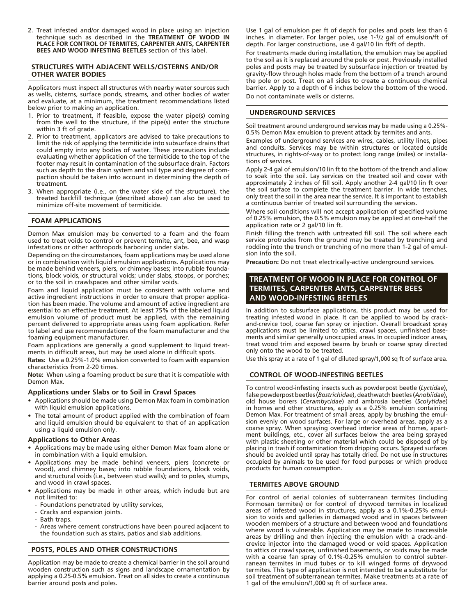2. Treat infested and/or damaged wood in place using an injection technique such as described in the **TREATMENT OF WOOD IN PLACE FOR CONTROL OF TERMITES, CARPENTER ANTS, CARPENTER BEES AND WOOD INFESTING BEETLES** section of this label.

#### **STRUCTURES WITH ADJACENT WELLS/CISTERNS AND/OR OTHER WATER BODIES**

Applicators must inspect all structures with nearby water sources such as wells, cisterns, surface ponds, streams, and other bodies of water and evaluate, at a minimum, the treatment recommendations listed below prior to making an application.

- 1. Prior to treatment, if feasible, expose the water pipe(s) coming from the well to the structure, if the pipe(s) enter the structure within 3 ft of grade.
- 2. Prior to treatment, applicators are advised to take precautions to limit the risk of applying the termiticide into subsurface drains that could empty into any bodies of water. These precautions include evaluating whether application of the termiticide to the top of the footer may result in contamination of the subsurface drain. Factors such as depth to the drain system and soil type and degree of compaction should be taken into account in determining the depth of treatment.
- 3. When appropriate (i.e., on the water side of the structure), the treated backfill technique (described above) can also be used to minimize off-site movement of termiticide.

## **FOAM APPLICATIONS**

Demon Max emulsion may be converted to a foam and the foam used to treat voids to control or prevent termite, ant, bee, and wasp infestations or other arthropods harboring under slabs.

Depending on the circumstances, foam applications may be used alone or in combination with liquid emulsion applications. Applications may be made behind veneers, piers, or chimney bases; into rubble foundations, block voids, or structural voids; under slabs, stoops, or porches; or to the soil in crawlspaces and other similar voids.

Foam and liquid application must be consistent with volume and active ingredient instructions in order to ensure that proper application has been made. The volume and amount of active ingredient are essential to an effective treatment. At least 75% of the labeled liquid emulsion volume of product must be applied, with the remaining percent delivered to appropriate areas using foam application. Refer to label and use recommendations of the foam manufacturer and the foaming equipment manufacturer.

Foam applications are generally a good supplement to liquid treatments in difficult areas, but may be used alone in difficult spots.

**Rates:** Use a 0.25%-1.0% emulsion converted to foam with expansion characteristics from 2-20 times.

**Note:** When using a foaming product be sure that it is compatible with Demon Max.

## **Applications under Slabs or to Soil in Crawl Spaces**

- Applications should be made using Demon Max foam in combination with liquid emulsion applications.
- The total amount of product applied with the combination of foam and liquid emulsion should be equivalent to that of an application using a liquid emulsion only.

## **Applications to Other Areas**

- • Applications may be made using either Demon Max foam alone or in combination with a liquid emulsion.
- Applications may be made behind veneers, piers (concrete or wood), and chimney bases; into rubble foundations, block voids, and structural voids (i.e., between stud walls); and to poles, stumps, and wood in crawl spaces.
- Applications may be made in other areas, which include but are not limited to:
	- Foundations penetrated by utility services,
	- Cracks and expansion joints.
	- Bath traps.
	- Areas where cement constructions have been poured adjacent to the foundation such as stairs, patios and slab additions.

## **POSTS, POLES AND OTHER CONSTRUCTIONS**

Application may be made to create a chemical barrier in the soil around wooden construction such as signs and landscape ornamentation by applying a 0.25-0.5% emulsion. Treat on all sides to create a continuous barrier around posts and poles.

Use 1 gal of emulsion per ft of depth for poles and posts less than 6 inches. in diameter. For larger poles, use 1-1/2 gal of emulsion/ft of depth. For larger constructions, use 4 gal/10 lin ft/ft of depth.

For treatments made during installation, the emulsion may be applied to the soil as it is replaced around the pole or post. Previously installed poles and posts may be treated by subsurface injection or treated by gravity-flow through holes made from the bottom of a trench around the pole or post. Treat on all sides to create a continuous chemical barrier. Apply to a depth of 6 inches below the bottom of the wood. Do not contaminate wells or cisterns.

## **UNDERGROUND SERVICES**

Soil treatment around underground services may be made using a 0.25%- 0.5% Demon Max emulsion to prevent attack by termites and ants.

Examples of underground services are wires, cables, utility lines, pipes and conduits. Services may be within structures or located outside structures, in rights-of-way or to protect long range (miles) or installations of services.

Apply 2-4 gal of emulsion/10 lin ft to the bottom of the trench and allow to soak into the soil. Lay services on the treated soil and cover with approximately 2 inches of fill soil. Apply another 2-4 gal/10 lin ft over the soil surface to complete the treatment barrier. In wide trenches, only treat the soil in the area near the service. It is important to establish a continuous barrier of treated soil surrounding the services.

Where soil conditions will not accept application of specified volume of 0.25% emulsion, the 0.5% emulsion may be applied at one-half the application rate or 2 gal/10 lin ft.

Finish filling the trench with untreated fill soil. The soil where each service protrudes from the ground may be treated by trenching and rodding into the trench or trenching of no more than 1-2 gal of emulsion into the soil.

**Precaution:** Do not treat electrically-active underground services.

## **TREATMENT OF WOOD IN PLACE FOR CONTROL OF TERMITES, CARPENTER ANTS, CARPENTER BEES AND WOOD-INFESTING BEETLES**

In addition to subsurface applications, this product may be used for treating infested wood in place. It can be applied to wood by crackand-crevice tool, coarse fan spray or injection. Overall broadcast spray applications must be limited to attics, crawl spaces, unfinished basements and similar generally unoccupied areas. In occupied indoor areas, treat wood trim and exposed beams by brush or coarse spray directed only onto the wood to be treated.

Use this spray at a rate of 1 gal of diluted spray/1,000 sq ft of surface area.

## **CONTROL OF WOOD-INFESTING BEETLES**

To control wood-infesting insects such as powderpost beetle (*Lyctidae*), false powderpost beetles(*Bostrichidae*), deathwatch beetles(*Anobiidae*), old house borers (*Cerambycidae*) and ambrosia beetles (*Scolytidae*) in homes and other structures, apply as a 0.25% emulsion containing Demon Max. For treatment of small areas, apply by brushing the emulsion evenly on wood surfaces. For large or overhead areas, apply as a coarse spray. When spraying overhead interior areas of homes, apartment buildings, etc., cover all surfaces below the area being sprayed with plastic sheeting or other material which could be disposed of by placing in trash if contamination from dripping occurs. Sprayed surfaces should be avoided until spray has totally dried. Do not use in structures occupied by animals to be used for food purposes or which produce products for human consumption.

## **TERMITES ABOVE GROUND**

For control of aerial colonies of subterranean termites (including Formosan termites) or for control of drywood termites in localized areas of infested wood in structures, apply as a 0.1%-0.25% emulsion to voids and galleries in damaged wood and in spaces between wooden members of a structure and between wood and foundations where wood is vulnerable. Application may be made to inaccessible areas by drilling and then injecting the emulsion with a crack-andcrevice injector into the damaged wood or void spaces. Application to attics or crawl spaces, unfinished basements, or voids may be made with a coarse fan spray of 0.1%-0.25% emulsion to control subterranean termites in mud tubes or to kill winged forms of drywood termites. This type of application is not intended to be a substitute for soil treatment of subterranean termites. Make treatments at a rate of 1 gal of the emulsion/1,000 sq ft of surface area.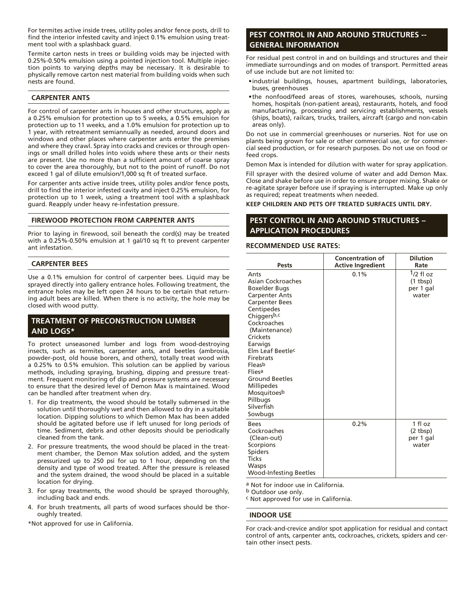For termites active inside trees, utility poles and/or fence posts, drill to find the interior infested cavity and inject 0.1% emulsion using treatment tool with a splashback guard.

Termite carton nests in trees or building voids may be injected with 0.25%-0.50% emulsion using a pointed injection tool. Multiple injection points to varying depths may be necessary. It is desirable to physically remove carton nest material from building voids when such nests are found.

## **CARPENTER ANTS**

For control of carpenter ants in houses and other structures, apply as a 0.25% emulsion for protection up to 5 weeks, a 0.5% emulsion for protection up to 11 weeks, and a 1.0% emulsion for protection up to 1 year, with retreatment semiannually as needed, around doors and windows and other places where carpenter ants enter the premises and where they crawl. Spray into cracks and crevices or through openings or small drilled holes into voids where these ants or their nests are present. Use no more than a sufficient amount of coarse spray to cover the area thoroughly, but not to the point of runoff. Do not exceed 1 gal of dilute emulsion/1,000 sq ft of treated surface.

For carpenter ants active inside trees, utility poles and/or fence posts, drill to find the interior infested cavity and inject 0.25% emulsion, for protection up to 1 week, using a treatment tool with a splashback guard. Reapply under heavy re-infestation pressure.

## **FIREWOOD PROTECTION FROM CARPENTER ANTS**

Prior to laying in firewood, soil beneath the cord(s) may be treated with a 0.25%-0.50% emulsion at 1 gal/10 sq ft to prevent carpenter ant infestation.

## **CARPENTER BEES**

Use a 0.1% emulsion for control of carpenter bees. Liquid may be sprayed directly into gallery entrance holes. Following treatment, the entrance holes may be left open 24 hours to be certain that returning adult bees are killed. When there is no activity, the hole may be closed with wood putty.

## **TREATMENT OF PRECONSTRUCTION LUMBER AND LOGS\***

To protect unseasoned lumber and logs from wood-destroying insects, such as termites, carpenter ants, and beetles (ambrosia, powder-post, old house borers, and others), totally treat wood with a 0.25% to 0.5% emulsion. This solution can be applied by various methods, including spraying, brushing, dipping and pressure treatment. Frequent monitoring of dip and pressure systems are necessary to ensure that the desired level of Demon Max is maintained. Wood can be handled after treatment when dry.

- 1. For dip treatments, the wood should be totally submersed in the solution until thoroughly wet and then allowed to dry in a suitable location. Dipping solutions to which Demon Max has been added should be agitated before use if left unused for long periods of time. Sediment, debris and other deposits should be periodically cleaned from the tank.
- 2. For pressure treatments, the wood should be placed in the treatment chamber, the Demon Max solution added, and the system pressurized up to 250 psi for up to 1 hour, depending on the density and type of wood treated. After the pressure is released and the system drained, the wood should be placed in a suitable location for drying.
- 3. For spray treatments, the wood should be sprayed thoroughly, including back and ends.
- 4. For brush treatments, all parts of wood surfaces should be thoroughly treated.

\*Not approved for use in California.

## **PEST CONTROL IN AND AROUND STRUCTURES -- GENERAL INFORMATION**

For residual pest control in and on buildings and structures and their immediate surroundings and on modes of transport. Permitted areas of use include but are not limited to:

- • industrial buildings, houses, apartment buildings, laboratories, buses, greenhouses
- • the nonfood/feed areas of stores, warehouses, schools, nursing homes, hospitals (non-patient areas), restaurants, hotels, and food manufacturing, processing and servicing establishments, vessels (ships, boats), railcars, trucks, trailers, aircraft (cargo and non-cabin areas only).

Do not use in commercial greenhouses or nurseries. Not for use on plants being grown for sale or other commercial use, or for commercial seed production, or for research purposes. Do not use on food or feed crops.

Demon Max is intended for dilution with water for spray application.

Fill sprayer with the desired volume of water and add Demon Max. Close and shake before use in order to ensure proper mixing. Shake or re-agitate sprayer before use if spraying is interrupted. Make up only as required; repeat treatments when needed.

**KEEP CHILDREN AND PETS OFF TREATED SURFACES UNTIL DRY.**

## **PEST CONTROL IN AND AROUND STRUCTURES – APPLICATION PROCEDURES**

## **RECOMMENDED USE RATES:**

| <b>Pests</b>                                                                                                                                                                                                                                                                                                                                        | <b>Concentration of</b><br><b>Active Ingredient</b> | <b>Dilution</b><br>Rate                            |
|-----------------------------------------------------------------------------------------------------------------------------------------------------------------------------------------------------------------------------------------------------------------------------------------------------------------------------------------------------|-----------------------------------------------------|----------------------------------------------------|
| Ants<br>Asian Cockroaches<br>Boxelder Bugs<br><b>Carpenter Ants</b><br><b>Carpenter Bees</b><br>Centipedes<br>Chiggersb,c<br>Cockroaches<br>(Maintenance)<br>Crickets<br>Earwigs<br>Elm Leaf Beetle <sup>c</sup><br>Firebrats<br>Fleasb<br>Fliesa<br><b>Ground Beetles</b><br><b>Millipedes</b><br>Mosquitoesb<br>Pillbugs<br>Silverfish<br>Sowbugs | 0.1%                                                | $1/2$ fl oz<br>$(1$ tbsp $)$<br>per 1 gal<br>water |
| <b>Bees</b><br>Cockroaches<br>(Clean-out)<br>Scorpions<br><b>Spiders</b><br><b>Ticks</b><br><b>Wasps</b><br><b>Wood-Infesting Beetles</b>                                                                                                                                                                                                           | 0.2%                                                | 1 fl oz<br>$(2$ tbsp)<br>per 1 gal<br>water        |

<sup>a</sup> Not for indoor use in California.<br><sup>b</sup> Outdoor use only.

c Not approved for use in California.

#### **INDOOR USE**

For crack-and-crevice and/or spot application for residual and contact control of ants, carpenter ants, cockroaches, crickets, spiders and certain other insect pests.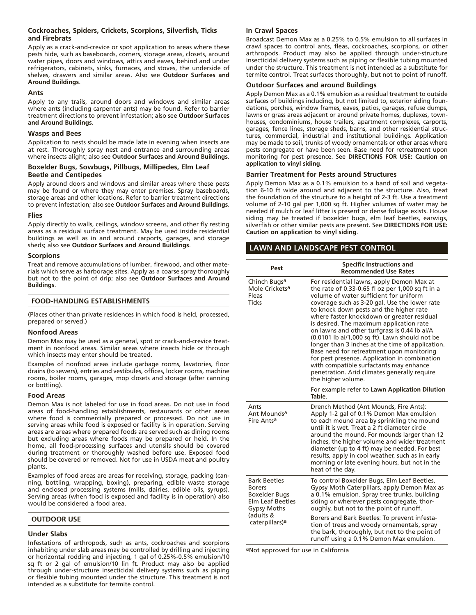## **Cockroaches, Spiders, Crickets, Scorpions, Silverfish, Ticks and Firebrats**

Apply as a crack-and-crevice or spot application to areas where these pests hide, such as baseboards, corners, storage areas, closets, around water pipes, doors and windows, attics and eaves, behind and under refrigerators, cabinets, sinks, furnaces, and stoves, the underside of shelves, drawers and similar areas. Also see **Outdoor Surfaces and Around Buildings**.

## **Ants**

Apply to any trails, around doors and windows and similar areas where ants (including carpenter ants) may be found. Refer to barrier treatment directions to prevent infestation; also see **Outdoor Surfaces and Around Buildings**.

## **Wasps and Bees**

Application to nests should be made late in evening when insects are at rest. Thoroughly spray nest and entrance and surrounding areas where insects alight; also see **Outdoor Surfaces and Around Buildings**.

## **Boxelder Bugs, Sowbugs, Pillbugs, Millipedes, Elm Leaf Beetle and Centipedes**

Apply around doors and windows and similar areas where these pests may be found or where they may enter premises. Spray baseboards, storage areas and other locations. Refer to barrier treatment directions to prevent infestation; also see **Outdoor Surfaces and Around Buildings**.

#### **Flies**

Apply directly to walls, ceilings, window screens, and other fly resting areas as a residual surface treatment. May be used inside residential buildings as well as in and around carports, garages, and storage sheds; also see **Outdoor Surfaces and Around Buildings**.

#### **Scorpions**

Treat and remove accumulations of lumber, firewood, and other materials which serve as harborage sites. Apply as a coarse spray thoroughly but not to the point of drip; also see **Outdoor Surfaces and Around Buildings**.

## **FOOD-HANDLING ESTABLISHMENTS**

(Places other than private residences in which food is held, processed, prepared or served.)

## **Nonfood Areas**

Demon Max may be used as a general, spot or crack-and-crevice treatment in nonfood areas. Similar areas where insects hide or through which insects may enter should be treated.

Examples of nonfood areas include garbage rooms, lavatories, floor drains (to sewers), entries and vestibules, offices, locker rooms, machine rooms, boiler rooms, garages, mop closets and storage (after canning or bottling).

## **Food Areas**

Demon Max is not labeled for use in food areas. Do not use in food areas of food-handling establishments, restaurants or other areas where food is commercially prepared or processed. Do not use in serving areas while food is exposed or facility is in operation. Serving areas are areas where prepared foods are served such as dining rooms but excluding areas where foods may be prepared or held. In the home, all food-processing surfaces and utensils should be covered during treatment or thoroughly washed before use. Exposed food should be covered or removed. Not for use in USDA meat and poultry plants.

Examples of food areas are areas for receiving, storage, packing (canning, bottling, wrapping, boxing), preparing, edible waste storage and enclosed processing systems (mills, dairies, edible oils, syrups). Serving areas (when food is exposed and facility is in operation) also would be considered a food area.

## **OUTDOOR USE**

#### **Under Slabs**

Infestations of arthropods, such as ants, cockroaches and scorpions inhabiting under slab areas may be controlled by drilling and injecting or horizontal rodding and injecting, 1 gal of 0.25%-0.5% emulsion/10 sq ft or 2 gal of emulsion/10 lin ft. Product may also be applied through under-structure insecticidal delivery systems such as piping or flexible tubing mounted under the structure. This treatment is not intended as a substitute for termite control.

#### **In Crawl Spaces**

Broadcast Demon Max as a 0.25% to 0.5% emulsion to all surfaces in crawl spaces to control ants, fleas, cockroaches, scorpions, or other arthropods. Product may also be applied through under-structure insecticidal delivery systems such as piping or flexible tubing mounted under the structure. This treatment is not intended as a substitute for termite control. Treat surfaces thoroughly, but not to point of runoff.

#### **Outdoor Surfaces and around Buildings**

Apply Demon Max as a 0.1% emulsion as a residual treatment to outside surfaces of buildings including, but not limited to, exterior siding foundations, porches, window frames, eaves, patios, garages, refuse dumps, lawns or grass areas adjacent or around private homes, duplexes, townhouses, condominiums, house trailers, apartment complexes, carports, garages, fence lines, storage sheds, barns, and other residential structures, commercial, industrial and institutional buildings. Application may be made to soil, trunks of woody ornamentals or other areas where pests congregate or have been seen. Base need for retreatment upon monitoring for pest presence. See **DIRECTIONS FOR USE: Caution on application to vinyl siding**.

#### **Barrier Treatment for Pests around Structures**

Apply Demon Max as a 0.1% emulsion to a band of soil and vegetation 6-10 ft wide around and adjacent to the structure. Also, treat the foundation of the structure to a height of 2-3 ft. Use a treatment volume of 2-10 gal per 1,000 sq ft. Higher volumes of water may be needed if mulch or leaf litter is present or dense foliage exists. House siding may be treated if boxelder bugs, elm leaf beetles, earwigs, silverfish or other similar pests are present. See **DIRECTIONS FOR USE: Caution on application to vinyl siding**.

## **LAWN AND LANDSCAPE PEST CONTROL**

| Pest                                                                                                                                                     | <b>Specific Instructions and</b><br><b>Recommended Use Rates</b>                                                                                                                                                                                                                                                                                                                                                                                                                                                                                                                                                                                                                                   |
|----------------------------------------------------------------------------------------------------------------------------------------------------------|----------------------------------------------------------------------------------------------------------------------------------------------------------------------------------------------------------------------------------------------------------------------------------------------------------------------------------------------------------------------------------------------------------------------------------------------------------------------------------------------------------------------------------------------------------------------------------------------------------------------------------------------------------------------------------------------------|
| Chinch Bugsa<br>Mole Crickets <sup>a</sup><br>Fleas<br><b>Ticks</b>                                                                                      | For residential lawns, apply Demon Max at<br>the rate of 0.33-0.65 fl oz per 1,000 sq ft in a<br>volume of water sufficient for uniform<br>coverage such as 3-20 gal. Use the lower rate<br>to knock down pests and the higher rate<br>where faster knockdown or greater residual<br>is desired. The maximum application rate<br>on lawns and other turfgrass is 0.44 lb ai/A<br>(0.0101 lb ai/1,000 sq ft). Lawn should not be<br>longer than 3 inches at the time of application.<br>Base need for retreatment upon monitoring<br>for pest presence. Application in combination<br>with compatible surfactants may enhance<br>penetration. Arid climates generally require<br>the higher volume. |
|                                                                                                                                                          | For example refer to Lawn Application Dilution<br>Table.                                                                                                                                                                                                                                                                                                                                                                                                                                                                                                                                                                                                                                           |
| Ants<br>Ant Mounds <sup>a</sup><br>Fire Ants <sup>a</sup>                                                                                                | Drench Method (Ant Mounds, Fire Ants):<br>Apply 1-2 gal of 0.1% Demon Max emulsion<br>to each mound area by sprinkling the mound<br>until it is wet. Treat a 2 ft diameter circle<br>around the mound. For mounds larger than 12<br>inches, the higher volume and wider treatment<br>diameter (up to 4 ft) may be needed. For best<br>results, apply in cool weather, such as in early<br>morning or late evening hours, but not in the<br>heat of the day.                                                                                                                                                                                                                                        |
| <b>Bark Beetles</b><br><b>Borers</b><br><b>Boxelder Bugs</b><br><b>Elm Leaf Beetles</b><br><b>Gypsy Moths</b><br>(adults &<br>caterpillars) <sup>a</sup> | To control Boxelder Bugs, Elm Leaf Beetles,<br>Gypsy Moth Caterpillars, apply Demon Max as<br>a 0.1% emulsion. Spray tree trunks, building<br>siding or wherever pests congregate, thor-<br>oughly, but not to the point of runoff.<br>Borers and Bark Beetles: To prevent infesta-<br>tion of trees and woody ornamentals, spray<br>the bark, thoroughly, but not to the point of<br>runoff using a 0.1% Demon Max emulsion.                                                                                                                                                                                                                                                                      |

aNot approved for use in California